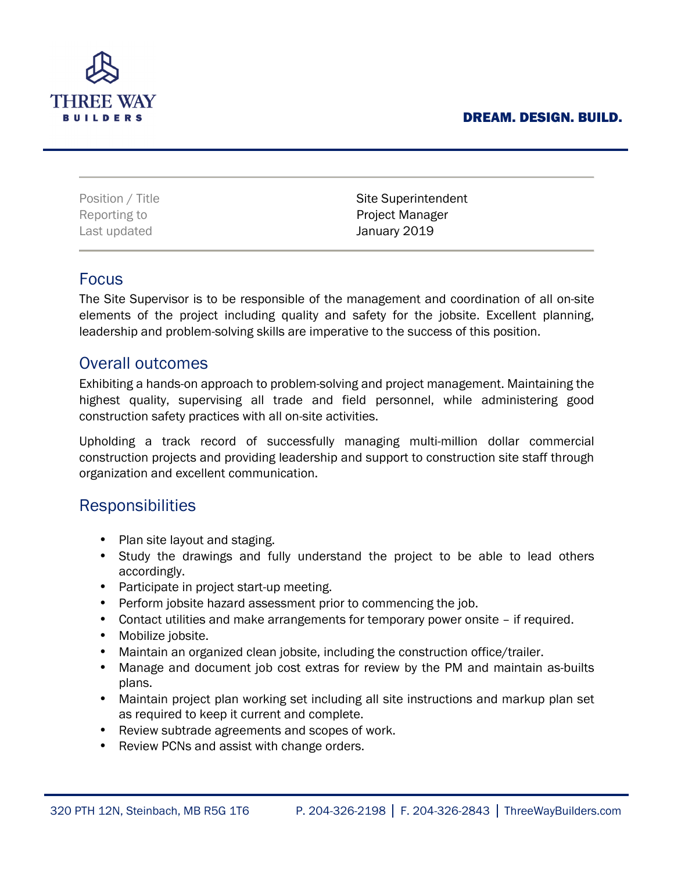### DREAM. DESIGN. BUILD.



Last updated **January 2019** 

Position / Title **Site Superintendent** Reporting to **Project Manager** 

### Focus

The Site Supervisor is to be responsible of the management and coordination of all on-site elements of the project including quality and safety for the jobsite. Excellent planning, leadership and problem-solving skills are imperative to the success of this position.

## Overall outcomes

Exhibiting a hands-on approach to problem-solving and project management. Maintaining the highest quality, supervising all trade and field personnel, while administering good construction safety practices with all on-site activities.

Upholding a track record of successfully managing multi-million dollar commercial construction projects and providing leadership and support to construction site staff through organization and excellent communication.

## Responsibilities

- Plan site layout and staging.
- Study the drawings and fully understand the project to be able to lead others accordingly.
- Participate in project start-up meeting.
- Perform jobsite hazard assessment prior to commencing the job.
- Contact utilities and make arrangements for temporary power onsite if required.
- Mobilize jobsite.
- Maintain an organized clean jobsite, including the construction office/trailer.
- Manage and document job cost extras for review by the PM and maintain as-builts plans.
- Maintain project plan working set including all site instructions and markup plan set as required to keep it current and complete.
- Review subtrade agreements and scopes of work.
- Review PCNs and assist with change orders.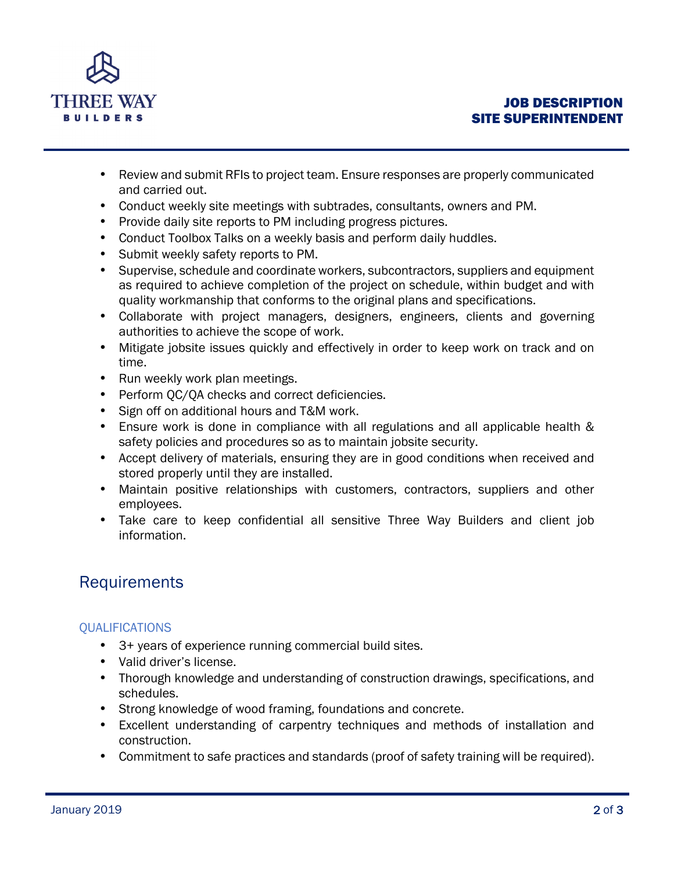

- Review and submit RFIs to project team. Ensure responses are properly communicated and carried out.
- Conduct weekly site meetings with subtrades, consultants, owners and PM.
- Provide daily site reports to PM including progress pictures.
- Conduct Toolbox Talks on a weekly basis and perform daily huddles.
- Submit weekly safety reports to PM.
- Supervise, schedule and coordinate workers, subcontractors, suppliers and equipment as required to achieve completion of the project on schedule, within budget and with quality workmanship that conforms to the original plans and specifications.
- Collaborate with project managers, designers, engineers, clients and governing authorities to achieve the scope of work.
- Mitigate jobsite issues quickly and effectively in order to keep work on track and on time.
- Run weekly work plan meetings.
- Perform QC/QA checks and correct deficiencies.
- Sign off on additional hours and T&M work.
- Ensure work is done in compliance with all regulations and all applicable health & safety policies and procedures so as to maintain jobsite security.
- Accept delivery of materials, ensuring they are in good conditions when received and stored properly until they are installed.
- Maintain positive relationships with customers, contractors, suppliers and other employees.
- Take care to keep confidential all sensitive Three Way Builders and client job information.

# Requirements

### **QUALIFICATIONS**

- 3+ years of experience running commercial build sites.
- Valid driver's license.
- Thorough knowledge and understanding of construction drawings, specifications, and schedules.
- Strong knowledge of wood framing, foundations and concrete.
- Excellent understanding of carpentry techniques and methods of installation and construction.
- Commitment to safe practices and standards (proof of safety training will be required).